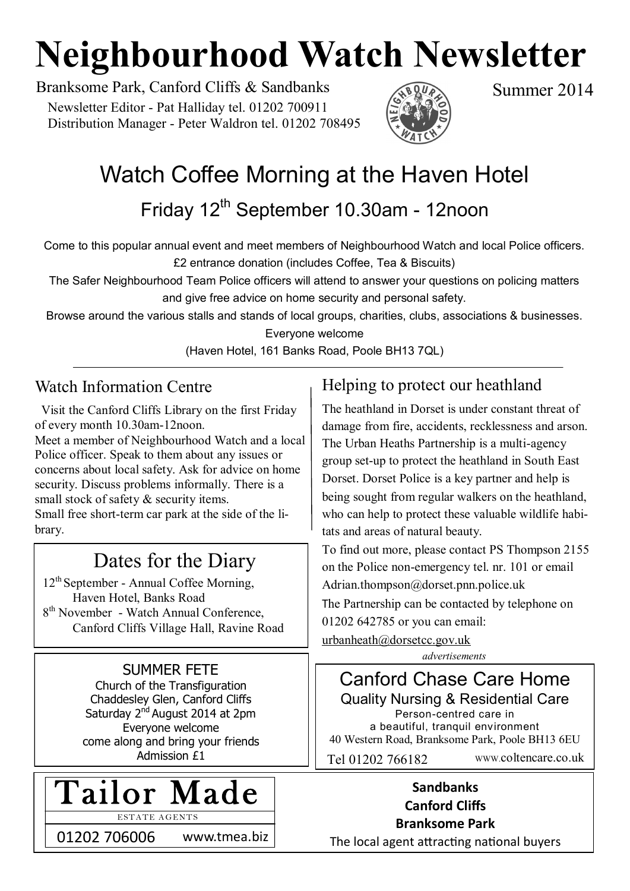# **Neighbourhood Watch Newsletter**

Branksome Park, Canford Cliffs & Sandbanks Summer 2014 Newsletter Editor - Pat Halliday tel. 01202 700911 Distribution Manager - Peter Waldron tel. 01202 708495



# Watch Coffee Morning at the Haven Hotel

Friday 12<sup>th</sup> September 10.30am - 12noon

Come to this popular annual event and meet members of Neighbourhood Watch and local Police officers. £2 entrance donation (includes Coffee, Tea & Biscuits)

The Safer Neighbourhood Team Police officers will attend to answer your questions on policing matters and give free advice on home security and personal safety.

Browse around the various stalls and stands of local groups, charities, clubs, associations & businesses.

Everyone welcome

(Haven Hotel, 161 Banks Road, Poole BH13 7QL)

### Watch Information Centre

 Visit the Canford Cliffs Library on the first Friday of every month 10.30am-12noon. Meet a member of Neighbourhood Watch and a local Police officer. Speak to them about any issues or concerns about local safety. Ask for advice on home security. Discuss problems informally. There is a small stock of safety & security items. Small free short-term car park at the side of the library.

# Dates for the Diary

12th September - Annual Coffee Morning, Haven Hotel, Banks Road 8<sup>th</sup> November - Watch Annual Conference, Canford Cliffs Village Hall, Ravine Road

# SUMMER FETE

Church of the Transfiguration Chaddesley Glen, Canford Cliffs Saturday 2<sup>nd</sup> August 2014 at 2pm Everyone welcome come along and bring your friends Admission £1



ESTATE AGENTS

01202 706006 www.tmea.biz

# Helping to protect our heathland

The heathland in Dorset is under constant threat of damage from fire, accidents, recklessness and arson. The Urban Heaths Partnership is a multi-agency group set-up to protect the heathland in South East Dorset. Dorset Police is a key partner and help is being sought from regular walkers on the heathland, who can help to protect these valuable wildlife habitats and areas of natural beauty.

To find out more, please contact PS Thompson 2155 on the Police non-emergency tel. nr. 101 or email [Adrian.thompson@dorset.pnn.police.uk](mailto:Adrian.thompson@dorset.pnn.police.uk)

The Partnership can be contacted by telephone on

01202 642785 or you can email:

*advertisements* [urbanheath@dorsetcc.gov.uk](mailto:urbanheath@dorsetcc.gov.uk)



#### **Sandbanks Canford Cliffs Branksome Park**

The local agent attracting national buyers